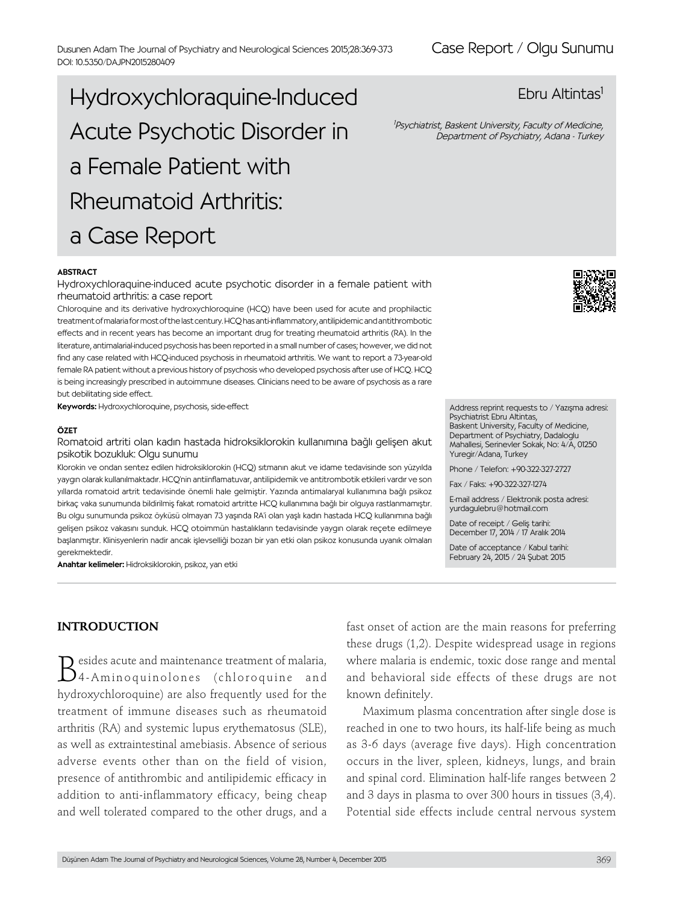# Hydroxychloraquine-Induced Acute Psychotic Disorder in a Female Patient with Rheumatoid Arthritis: a Case Report

#### **ABSTRACT**

Hydroxychloraquine-induced acute psychotic disorder in a female patient with rheumatoid arthritis: a case report

Chloroquine and its derivative hydroxychloroquine (HCQ) have been used for acute and prophilactic treatment of malaria for most of the last century. HCQ has anti-inflammatory, antilipidemic and antithrombotic effects and in recent years has become an important drug for treating rheumatoid arthritis (RA). In the literature, antimalarial-induced psychosis has been reported in a small number of cases; however, we did not find any case related with HCQ-induced psychosis in rheumatoid arthritis. We want to report a 73-year-old female RA patient without a previous history of psychosis who developed psychosis after use of HCQ. HCQ is being increasingly prescribed in autoimmune diseases. Clinicians need to be aware of psychosis as a rare but debilitating side effect.

Keywords: Hydroxychloroquine, psychosis, side-effect

#### ÖZET

Romatoid artriti olan kadın hastada hidroksiklorokin kullanımına bağlı gelişen akut psikotik bozukluk: Olgu sunumu

Klorokin ve ondan sentez edilen hidroksiklorokin (HCQ) sıtmanın akut ve idame tedavisinde son yüzyılda yaygın olarak kullanılmaktadır. HCQ'nin antiinflamatuvar, antilipidemik ve antitrombotik etkileri vardır ve son yıllarda romatoid artrit tedavisinde önemli hale gelmiştir. Yazında antimalaryal kullanımına bağlı psikoz birkaç vaka sunumunda bildirilmiş fakat romatoid artritte HCQ kullanımına bağlı bir olguya rastlanmamıştır. Bu olgu sunumunda psikoz öyküsü olmayan 73 yaşında RA'i olan yaşlı kadın hastada HCQ kullanımına bağlı gelişen psikoz vakasını sunduk. HCQ otoimmün hastalıkların tedavisinde yaygın olarak reçete edilmeye başlanmıştır. Klinisyenlerin nadir ancak işlevselliği bozan bir yan etki olan psikoz konusunda uyanık olmaları gerekmektedir.

Anahtar kelimeler: Hidroksiklorokin, psikoz, yan etki



1 Psychiatrist, Baskent University, Faculty of Medicine, Department of Psychiatry, Adana - Turkey



Address reprint requests to / Yazışma adresi: Psychiatrist Ebru Altintas, Baskent University, Faculty of Medicine, Department of Psychiatry, Dadaloglu Mahallesi, Serinevler Sokak, No: 4/A, 01250 Yuregir/Adana, Turkey

Phone / Telefon: +90-322-327-2727

Fax / Faks: +90-322-327-1274

E-mail address / Elektronik posta adresi: yurdagulebru@hotmail.com

Date of receipt / Geliş tarihi: December 17, 2014 / 17 Aralık 2014

Date of acceptance / Kabul tarihi: February 24, 2015 / 24 Şubat 2015

## **INTRODUCTION**

Besides acute and maintenance treatment of malaria, 4-Aminoquinolones (chloroquine and hydroxychloroquine) are also frequently used for the treatment of immune diseases such as rheumatoid arthritis (RA) and systemic lupus erythematosus (SLE), as well as extraintestinal amebiasis. Absence of serious adverse events other than on the field of vision, presence of antithrombic and antilipidemic efficacy in addition to anti-inflammatory efficacy, being cheap and well tolerated compared to the other drugs, and a

fast onset of action are the main reasons for preferring these drugs (1,2). Despite widespread usage in regions where malaria is endemic, toxic dose range and mental and behavioral side effects of these drugs are not known definitely.

Maximum plasma concentration after single dose is reached in one to two hours, its half-life being as much as 3-6 days (average five days). High concentration occurs in the liver, spleen, kidneys, lungs, and brain and spinal cord. Elimination half-life ranges between 2 and 3 days in plasma to over 300 hours in tissues (3,4). Potential side effects include central nervous system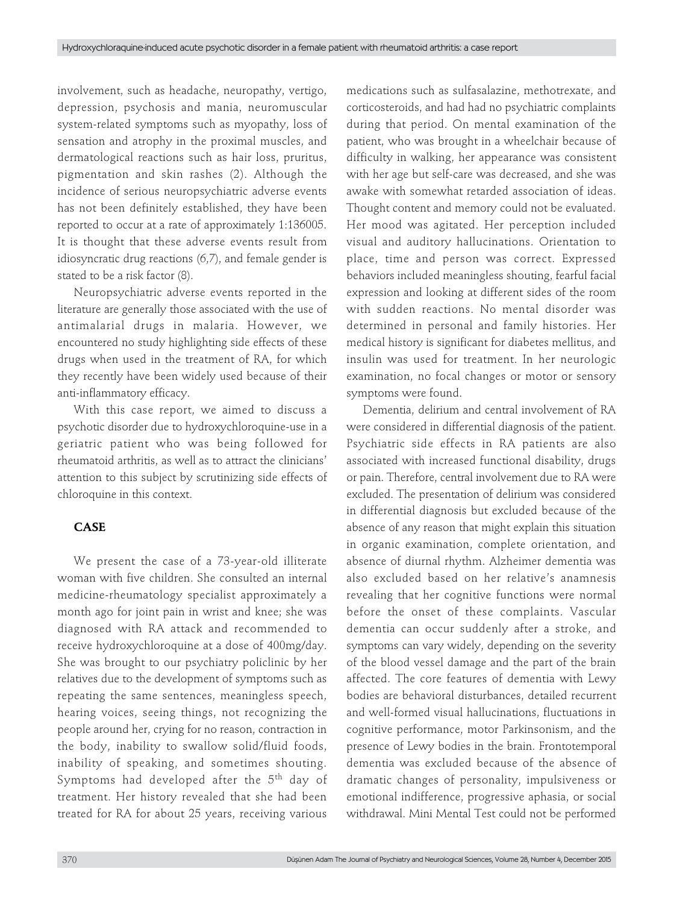involvement, such as headache, neuropathy, vertigo, depression, psychosis and mania, neuromuscular system-related symptoms such as myopathy, loss of sensation and atrophy in the proximal muscles, and dermatological reactions such as hair loss, pruritus, pigmentation and skin rashes (2). Although the incidence of serious neuropsychiatric adverse events has not been definitely established, they have been reported to occur at a rate of approximately 1:136005. It is thought that these adverse events result from idiosyncratic drug reactions (6,7), and female gender is stated to be a risk factor (8).

Neuropsychiatric adverse events reported in the literature are generally those associated with the use of antimalarial drugs in malaria. However, we encountered no study highlighting side effects of these drugs when used in the treatment of RA, for which they recently have been widely used because of their anti-inflammatory efficacy.

With this case report, we aimed to discuss a psychotic disorder due to hydroxychloroquine-use in a geriatric patient who was being followed for rheumatoid arthritis, as well as to attract the clinicians' attention to this subject by scrutinizing side effects of chloroquine in this context.

## **CASE**

We present the case of a 73-year-old illiterate woman with five children. She consulted an internal medicine-rheumatology specialist approximately a month ago for joint pain in wrist and knee; she was diagnosed with RA attack and recommended to receive hydroxychloroquine at a dose of 400mg/day. She was brought to our psychiatry policlinic by her relatives due to the development of symptoms such as repeating the same sentences, meaningless speech, hearing voices, seeing things, not recognizing the people around her, crying for no reason, contraction in the body, inability to swallow solid/fluid foods, inability of speaking, and sometimes shouting. Symptoms had developed after the 5<sup>th</sup> day of treatment. Her history revealed that she had been treated for RA for about 25 years, receiving various

medications such as sulfasalazine, methotrexate, and corticosteroids, and had had no psychiatric complaints during that period. On mental examination of the patient, who was brought in a wheelchair because of difficulty in walking, her appearance was consistent with her age but self-care was decreased, and she was awake with somewhat retarded association of ideas. Thought content and memory could not be evaluated. Her mood was agitated. Her perception included visual and auditory hallucinations. Orientation to place, time and person was correct. Expressed behaviors included meaningless shouting, fearful facial expression and looking at different sides of the room with sudden reactions. No mental disorder was determined in personal and family histories. Her medical history is significant for diabetes mellitus, and insulin was used for treatment. In her neurologic examination, no focal changes or motor or sensory symptoms were found.

Dementia, delirium and central involvement of RA were considered in differential diagnosis of the patient. Psychiatric side effects in RA patients are also associated with increased functional disability, drugs or pain. Therefore, central involvement due to RA were excluded. The presentation of delirium was considered in differential diagnosis but excluded because of the absence of any reason that might explain this situation in organic examination, complete orientation, and absence of diurnal rhythm. Alzheimer dementia was also excluded based on her relative's anamnesis revealing that her cognitive functions were normal before the onset of these complaints. Vascular dementia can occur suddenly after a stroke, and symptoms can vary widely, depending on the severity of the blood vessel damage and the part of the brain affected. The core features of dementia with Lewy bodies are behavioral disturbances, detailed recurrent and well-formed visual hallucinations, fluctuations in cognitive performance, motor Parkinsonism, and the presence of Lewy bodies in the brain. Frontotemporal dementia was excluded because of the absence of dramatic changes of personality, impulsiveness or emotional indifference, progressive aphasia, or social withdrawal. Mini Mental Test could not be performed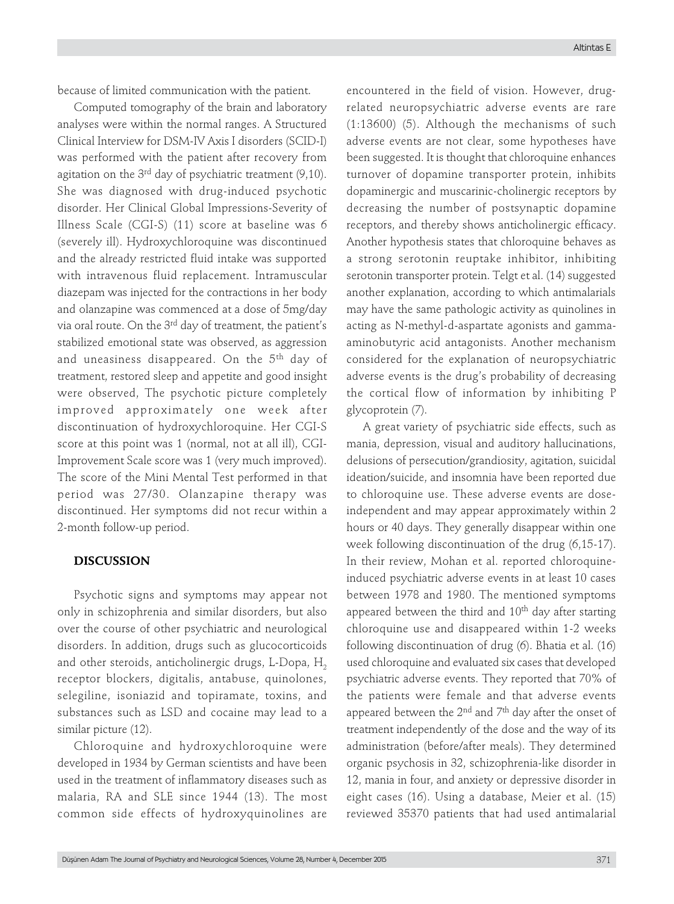because of limited communication with the patient.

Computed tomography of the brain and laboratory analyses were within the normal ranges. A Structured Clinical Interview for DSM-IV Axis I disorders (SCID-I) was performed with the patient after recovery from agitation on the  $3<sup>rd</sup>$  day of psychiatric treatment (9,10). She was diagnosed with drug-induced psychotic disorder. Her Clinical Global Impressions-Severity of Illness Scale (CGI-S) (11) score at baseline was 6 (severely ill). Hydroxychloroquine was discontinued and the already restricted fluid intake was supported with intravenous fluid replacement. Intramuscular diazepam was injected for the contractions in her body and olanzapine was commenced at a dose of 5mg/day via oral route. On the 3<sup>rd</sup> day of treatment, the patient's stabilized emotional state was observed, as aggression and uneasiness disappeared. On the 5<sup>th</sup> day of treatment, restored sleep and appetite and good insight were observed, The psychotic picture completely improved approximately one week after discontinuation of hydroxychloroquine. Her CGI-S score at this point was 1 (normal, not at all ill), CGI-Improvement Scale score was 1 (very much improved). The score of the Mini Mental Test performed in that period was 27/30. Olanzapine therapy was discontinued. Her symptoms did not recur within a 2-month follow-up period.

#### **DISCUSSION**

Psychotic signs and symptoms may appear not only in schizophrenia and similar disorders, but also over the course of other psychiatric and neurological disorders. In addition, drugs such as glucocorticoids and other steroids, anticholinergic drugs, L-Dopa,  $H_2$ receptor blockers, digitalis, antabuse, quinolones, selegiline, isoniazid and topiramate, toxins, and substances such as LSD and cocaine may lead to a similar picture (12).

Chloroquine and hydroxychloroquine were developed in 1934 by German scientists and have been used in the treatment of inflammatory diseases such as malaria, RA and SLE since 1944 (13). The most common side effects of hydroxyquinolines are

encountered in the field of vision. However, drugrelated neuropsychiatric adverse events are rare (1:13600) (5). Although the mechanisms of such adverse events are not clear, some hypotheses have been suggested. It is thought that chloroquine enhances turnover of dopamine transporter protein, inhibits dopaminergic and muscarinic-cholinergic receptors by decreasing the number of postsynaptic dopamine receptors, and thereby shows anticholinergic efficacy. Another hypothesis states that chloroquine behaves as a strong serotonin reuptake inhibitor, inhibiting serotonin transporter protein. Telgt et al. (14) suggested another explanation, according to which antimalarials may have the same pathologic activity as quinolines in acting as N-methyl-d-aspartate agonists and gammaaminobutyric acid antagonists. Another mechanism considered for the explanation of neuropsychiatric adverse events is the drug's probability of decreasing the cortical flow of information by inhibiting P glycoprotein (7).

A great variety of psychiatric side effects, such as mania, depression, visual and auditory hallucinations, delusions of persecution/grandiosity, agitation, suicidal ideation/suicide, and insomnia have been reported due to chloroquine use. These adverse events are doseindependent and may appear approximately within 2 hours or 40 days. They generally disappear within one week following discontinuation of the drug (6,15-17). In their review, Mohan et al. reported chloroquineinduced psychiatric adverse events in at least 10 cases between 1978 and 1980. The mentioned symptoms appeared between the third and  $10<sup>th</sup>$  day after starting chloroquine use and disappeared within 1-2 weeks following discontinuation of drug (6). Bhatia et al. (16) used chloroquine and evaluated six cases that developed psychiatric adverse events. They reported that 70% of the patients were female and that adverse events appeared between the  $2<sup>nd</sup>$  and  $7<sup>th</sup>$  day after the onset of treatment independently of the dose and the way of its administration (before/after meals). They determined organic psychosis in 32, schizophrenia-like disorder in 12, mania in four, and anxiety or depressive disorder in eight cases (16). Using a database, Meier et al. (15) reviewed 35370 patients that had used antimalarial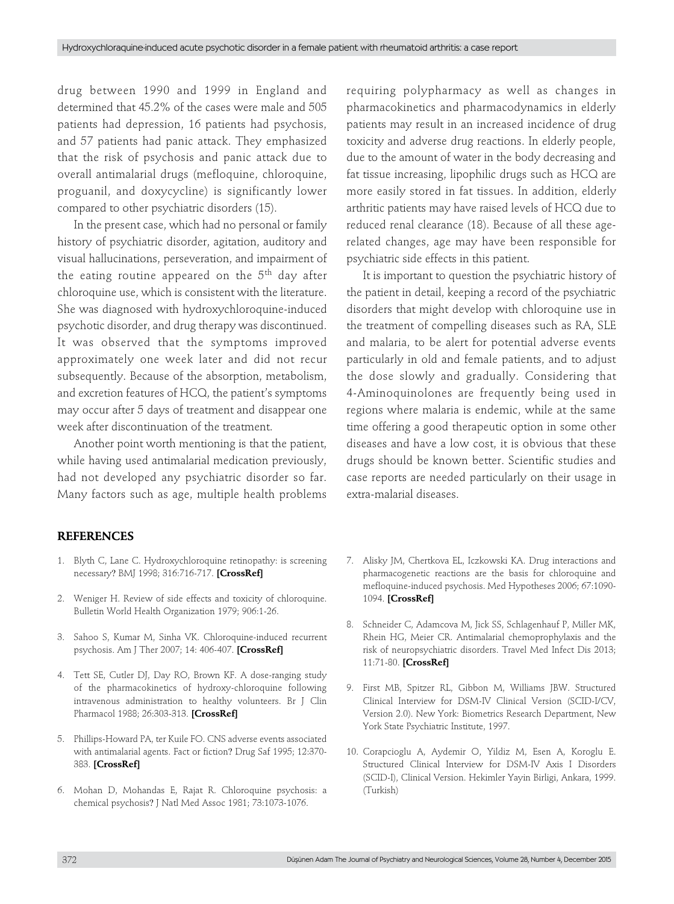drug between 1990 and 1999 in England and determined that 45.2% of the cases were male and 505 patients had depression, 16 patients had psychosis, and 57 patients had panic attack. They emphasized that the risk of psychosis and panic attack due to overall antimalarial drugs (mefloquine, chloroquine, proguanil, and doxycycline) is significantly lower compared to other psychiatric disorders (15).

In the present case, which had no personal or family history of psychiatric disorder, agitation, auditory and visual hallucinations, perseveration, and impairment of the eating routine appeared on the  $5<sup>th</sup>$  day after chloroquine use, which is consistent with the literature. She was diagnosed with hydroxychloroquine-induced psychotic disorder, and drug therapy was discontinued. It was observed that the symptoms improved approximately one week later and did not recur subsequently. Because of the absorption, metabolism, and excretion features of HCQ, the patient's symptoms may occur after 5 days of treatment and disappear one week after discontinuation of the treatment.

Another point worth mentioning is that the patient, while having used antimalarial medication previously, had not developed any psychiatric disorder so far. Many factors such as age, multiple health problems requiring polypharmacy as well as changes in pharmacokinetics and pharmacodynamics in elderly patients may result in an increased incidence of drug toxicity and adverse drug reactions. In elderly people, due to the amount of water in the body decreasing and fat tissue increasing, lipophilic drugs such as HCQ are more easily stored in fat tissues. In addition, elderly arthritic patients may have raised levels of HCQ due to reduced renal clearance (18). Because of all these agerelated changes, age may have been responsible for psychiatric side effects in this patient.

It is important to question the psychiatric history of the patient in detail, keeping a record of the psychiatric disorders that might develop with chloroquine use in the treatment of compelling diseases such as RA, SLE and malaria, to be alert for potential adverse events particularly in old and female patients, and to adjust the dose slowly and gradually. Considering that 4-Aminoquinolones are frequently being used in regions where malaria is endemic, while at the same time offering a good therapeutic option in some other diseases and have a low cost, it is obvious that these drugs should be known better. Scientific studies and case reports are needed particularly on their usage in extra-malarial diseases.

## **REFERENCES**

- 1. Blyth C, Lane C. Hydroxychloroquine retinopathy: is screening necessary? BMJ 1998; 316:716-717. **[\[CrossRef\]](http://dx.doi.org/10.1136/bmj.316.7133.716)**
- 2. Weniger H. Review of side effects and toxicity of chloroquine. Bulletin World Health Organization 1979; 906:1-26.
- 3. Sahoo S, Kumar M, Sinha VK. Chloroquine-induced recurrent psychosis. Am J Ther 2007; 14: 406-407. **[\[CrossRef\]](http://dx.doi.org/10.1097/MJT.0b013e31802e4b0e)**
- 4. Tett SE, Cutler DJ, Day RO, Brown KF. A dose-ranging study of the pharmacokinetics of hydroxy-chloroquine following intravenous administration to healthy volunteers. Br J Clin Pharmacol 1988; 26:303-313. **[\[CrossRef\]](http://dx.doi.org/10.1111/j.1365-2125.1988.tb05281.x)**
- 5. Phillips-Howard PA, ter Kuile FO. CNS adverse events associated with antimalarial agents. Fact or fiction? Drug Saf 1995; 12:370- 383. **[\[CrossRef\]](http://dx.doi.org/10.2165/00002018-199512060-00003)**
- 6. Mohan D, Mohandas E, Rajat R. Chloroquine psychosis: a chemical psychosis? J Natl Med Assoc 1981; 73:1073-1076.
- 7. Alisky JM, Chertkova EL, Iczkowski KA. Drug interactions and pharmacogenetic reactions are the basis for chloroquine and mefloquine-induced psychosis. Med Hypotheses 2006; 67:1090- 1094. **[\[CrossRef\]](http://dx.doi.org/10.1016/j.mehy.2006.01.059)**
- 8. Schneider C, Adamcova M, Jick SS, Schlagenhauf P, Miller MK, Rhein HG, Meier CR. Antimalarial chemoprophylaxis and the risk of neuropsychiatric disorders. Travel Med Infect Dis 2013; 11:71-80. **[\[CrossRef\]](http://dx.doi.org/10.1016/j.tmaid.2013.02.008)**
- 9. First MB, Spitzer RL, Gibbon M, Williams JBW. Structured Clinical Interview for DSM-IV Clinical Version (SCID-I/CV, Version 2.0). New York: Biometrics Research Department, New York State Psychiatric Institute, 1997.
- 10. Corapcioglu A, Aydemir O, Yildiz M, Esen A, Koroglu E. Structured Clinical Interview for DSM-IV Axis I Disorders (SCID-I), Clinical Version. Hekimler Yayin Birligi, Ankara, 1999. (Turkish)